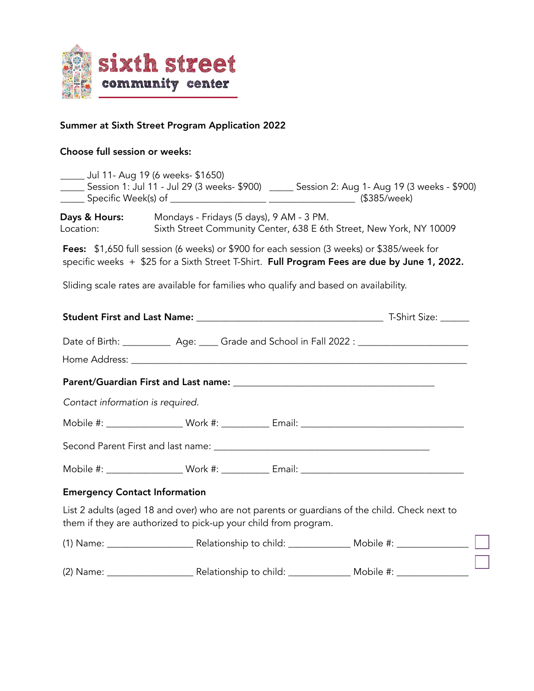

# Summer at Sixth Street Program Application 2022

# Choose full session or weeks:

|                                       | _____ Jul 11- Aug 19 (6 weeks- \$1650)                                                | _____ Session 1: Jul 11 - Jul 29 (3 weeks- \$900) _____ Session 2: Aug 1- Aug 19 (3 weeks - \$900)                                                                                         |
|---------------------------------------|---------------------------------------------------------------------------------------|--------------------------------------------------------------------------------------------------------------------------------------------------------------------------------------------|
| <b>Days &amp; Hours:</b><br>Location: | Mondays - Fridays (5 days), 9 AM - 3 PM.                                              | Sixth Street Community Center, 638 E 6th Street, New York, NY 10009                                                                                                                        |
|                                       |                                                                                       | Fees: \$1,650 full session (6 weeks) or \$900 for each session (3 weeks) or \$385/week for<br>specific weeks + \$25 for a Sixth Street T-Shirt. Full Program Fees are due by June 1, 2022. |
|                                       | Sliding scale rates are available for families who qualify and based on availability. |                                                                                                                                                                                            |
|                                       |                                                                                       |                                                                                                                                                                                            |
|                                       |                                                                                       | Date of Birth: _____________ Age: _____ Grade and School in Fall 2022 : ____________________________                                                                                       |
|                                       |                                                                                       |                                                                                                                                                                                            |
| Contact information is required.      |                                                                                       |                                                                                                                                                                                            |
|                                       |                                                                                       |                                                                                                                                                                                            |
|                                       |                                                                                       |                                                                                                                                                                                            |
|                                       |                                                                                       |                                                                                                                                                                                            |
| <b>Emergency Contact Information</b>  |                                                                                       |                                                                                                                                                                                            |
|                                       | them if they are authorized to pick-up your child from program.                       | List 2 adults (aged 18 and over) who are not parents or guardians of the child. Check next to                                                                                              |
|                                       |                                                                                       |                                                                                                                                                                                            |
|                                       |                                                                                       |                                                                                                                                                                                            |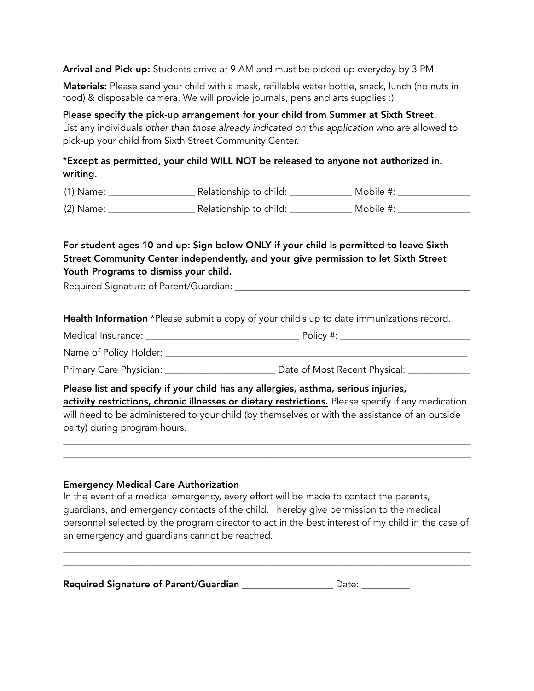Arrival and Pick-up: Students arrive at 9 AM and must be picked up everyday by 3 PM.

Materials: Please send your child with a mask, refillable water bottle, snack, lunch (no nuts in food) & disposable camera. We will provide journals, pens and arts supplies :)

Please specify the pick-up arrangement for your child from Summer at Sixth Street. List any individuals *other than those already indicated on this application* who are allowed to pick-up your child from Sixth Street Community Center.

### \*Except as permitted, your child WILL NOT be released to anyone not authorized in. writing.

(1) Name: \_\_\_\_\_\_\_\_\_\_\_\_\_\_\_\_\_\_ Relationship to child: \_\_\_\_\_\_\_\_\_\_\_\_\_ Mobile #: \_\_\_\_\_\_\_\_\_\_\_\_\_\_\_

(2) Name: \_\_\_\_\_\_\_\_\_\_\_\_\_\_\_\_\_\_ Relationship to child: \_\_\_\_\_\_\_\_\_\_\_\_\_ Mobile #: \_\_\_\_\_\_\_\_\_\_\_\_\_\_\_

## For student ages 10 and up: Sign below ONLY if your child is permitted to leave Sixth Street Community Center independently, and your give permission to let Sixth Street Youth Programs to dismiss your child.

Required Signature of Parent/Guardian:

Health Information \*Please submit a copy of your child's up to date immunizations record.

Medical Insurance: \_\_\_\_\_\_\_\_\_\_\_\_\_\_\_\_\_\_\_\_\_\_\_\_\_\_\_\_\_\_\_\_ Policy #: \_\_\_\_\_\_\_\_\_\_\_\_\_\_\_\_\_\_\_\_\_\_\_\_\_\_\_

Name of Policy Holder: \_\_\_\_\_\_\_\_\_\_\_\_\_\_\_\_\_\_\_\_\_\_\_\_\_\_\_\_\_\_\_\_\_\_\_\_\_\_\_\_\_\_\_\_\_\_\_\_\_\_\_\_\_\_\_\_\_\_\_\_\_\_\_

Primary Care Physician: \_\_\_\_\_\_\_\_\_\_\_\_\_\_\_\_\_\_\_\_\_\_\_\_\_\_\_\_ Date of Most Recent Physical: \_\_\_\_\_\_\_\_\_\_\_\_\_\_\_\_

Please list and specify if your child has any allergies, asthma, serious injuries, activity restrictions, chronic illnesses or dietary restrictions. Please specify if any medication will need to be administered to your child (by themselves or with the assistance of an outside party) during program hours.

 $\overline{\phantom{a}}$  ,  $\overline{\phantom{a}}$  ,  $\overline{\phantom{a}}$  ,  $\overline{\phantom{a}}$  ,  $\overline{\phantom{a}}$  ,  $\overline{\phantom{a}}$  ,  $\overline{\phantom{a}}$  ,  $\overline{\phantom{a}}$  ,  $\overline{\phantom{a}}$  ,  $\overline{\phantom{a}}$  ,  $\overline{\phantom{a}}$  ,  $\overline{\phantom{a}}$  ,  $\overline{\phantom{a}}$  ,  $\overline{\phantom{a}}$  ,  $\overline{\phantom{a}}$  ,  $\overline{\phantom{a}}$  $\overline{\phantom{a}}$  ,  $\overline{\phantom{a}}$  ,  $\overline{\phantom{a}}$  ,  $\overline{\phantom{a}}$  ,  $\overline{\phantom{a}}$  ,  $\overline{\phantom{a}}$  ,  $\overline{\phantom{a}}$  ,  $\overline{\phantom{a}}$  ,  $\overline{\phantom{a}}$  ,  $\overline{\phantom{a}}$  ,  $\overline{\phantom{a}}$  ,  $\overline{\phantom{a}}$  ,  $\overline{\phantom{a}}$  ,  $\overline{\phantom{a}}$  ,  $\overline{\phantom{a}}$  ,  $\overline{\phantom{a}}$ 

#### Emergency Medical Care Authorization

In the event of a medical emergency, every effort will be made to contact the parents, guardians, and emergency contacts of the child. I hereby give permission to the medical personnel selected by the program director to act in the best interest of my child in the case of an emergency and guardians cannot be reached.

\_\_\_\_\_\_\_\_\_\_\_\_\_\_\_\_\_\_\_\_\_\_\_\_\_\_\_\_\_\_\_\_\_\_\_\_\_\_\_\_\_\_\_\_\_\_\_\_\_\_\_\_\_\_\_\_\_\_\_\_\_\_\_\_\_\_\_\_\_\_\_\_\_\_\_\_\_\_\_\_\_\_\_\_\_ \_\_\_\_\_\_\_\_\_\_\_\_\_\_\_\_\_\_\_\_\_\_\_\_\_\_\_\_\_\_\_\_\_\_\_\_\_\_\_\_\_\_\_\_\_\_\_\_\_\_\_\_\_\_\_\_\_\_\_\_\_\_\_\_\_\_\_\_\_\_\_\_\_\_\_\_\_\_\_\_\_\_\_\_\_

| Required Signature of Parent/Guardian | Date: |
|---------------------------------------|-------|
|---------------------------------------|-------|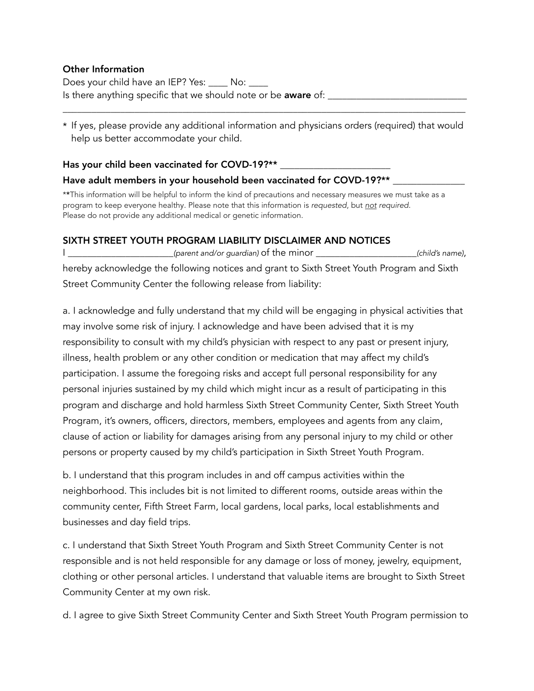### Other Information

Does your child have an IEP? Yes: \_\_\_\_ No: \_\_\_\_ Is there anything specific that we should note or be aware of: \_\_\_\_\_\_\_\_\_\_\_\_\_\_\_\_\_\_

\* If yes, please provide any additional information and physicians orders (required) that would help us better accommodate your child.

\_\_\_\_\_\_\_\_\_\_\_\_\_\_\_\_\_\_\_\_\_\_\_\_\_\_\_\_\_\_\_\_\_\_\_\_\_\_\_\_\_\_\_\_\_\_\_\_\_\_\_\_\_\_\_\_\_\_\_\_\_\_\_\_\_\_\_\_\_\_\_\_\_\_\_\_\_\_\_\_\_\_\_\_

#### Has your child been vaccinated for COVD-19?\*\*

#### Have adult members in your household been vaccinated for COVD-19?\*\*

\*\*This information will be helpful to inform the kind of precautions and necessary measures we must take as a program to keep everyone healthy. Please note that this information is *requested*, but *not required*. Please do not provide any additional medical or genetic information.

#### SIXTH STREET YOUTH PROGRAM LIABILITY DISCLAIMER AND NOTICES

(parent and/or guardian) of the minor (child's name), hereby acknowledge the following notices and grant to Sixth Street Youth Program and Sixth Street Community Center the following release from liability:

a. I acknowledge and fully understand that my child will be engaging in physical activities that may involve some risk of injury. I acknowledge and have been advised that it is my responsibility to consult with my child's physician with respect to any past or present injury, illness, health problem or any other condition or medication that may affect my child's participation. I assume the foregoing risks and accept full personal responsibility for any personal injuries sustained by my child which might incur as a result of participating in this program and discharge and hold harmless Sixth Street Community Center, Sixth Street Youth Program, it's owners, officers, directors, members, employees and agents from any claim, clause of action or liability for damages arising from any personal injury to my child or other persons or property caused by my child's participation in Sixth Street Youth Program.

b. I understand that this program includes in and off campus activities within the neighborhood. This includes bit is not limited to different rooms, outside areas within the community center, Fifth Street Farm, local gardens, local parks, local establishments and businesses and day field trips.

c. I understand that Sixth Street Youth Program and Sixth Street Community Center is not responsible and is not held responsible for any damage or loss of money, jewelry, equipment, clothing or other personal articles. I understand that valuable items are brought to Sixth Street Community Center at my own risk.

d. I agree to give Sixth Street Community Center and Sixth Street Youth Program permission to